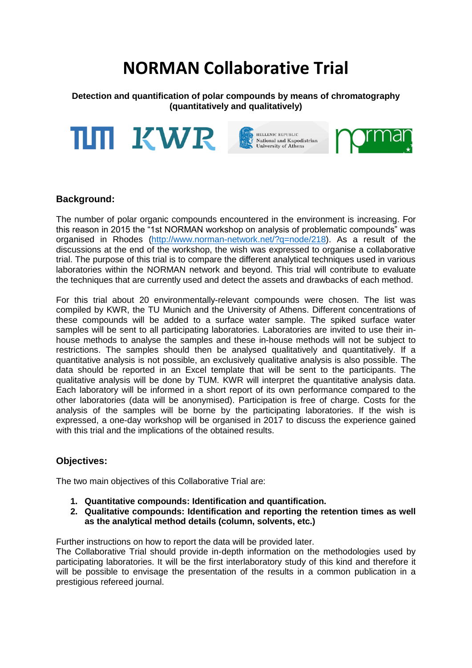# **NORMAN Collaborative Trial**

**Detection and quantification of polar compounds by means of chromatography (quantitatively and qualitatively)**



#### **Background:**

The number of polar organic compounds encountered in the environment is increasing. For this reason in 2015 the "1st NORMAN workshop on analysis of problematic compounds" was organised in Rhodes [\(http://www.norman-network.net/?q=node/218\)](http://www.norman-network.net/?q=node/218). As a result of the discussions at the end of the workshop, the wish was expressed to organise a collaborative trial. The purpose of this trial is to compare the different analytical techniques used in various laboratories within the NORMAN network and beyond. This trial will contribute to evaluate the techniques that are currently used and detect the assets and drawbacks of each method.

For this trial about 20 environmentally-relevant compounds were chosen. The list was compiled by KWR, the TU Munich and the University of Athens. Different concentrations of these compounds will be added to a surface water sample. The spiked surface water samples will be sent to all participating laboratories. Laboratories are invited to use their inhouse methods to analyse the samples and these in-house methods will not be subject to restrictions. The samples should then be analysed qualitatively and quantitatively. If a quantitative analysis is not possible, an exclusively qualitative analysis is also possible. The data should be reported in an Excel template that will be sent to the participants. The qualitative analysis will be done by TUM. KWR will interpret the quantitative analysis data. Each laboratory will be informed in a short report of its own performance compared to the other laboratories (data will be anonymised). Participation is free of charge. Costs for the analysis of the samples will be borne by the participating laboratories. If the wish is expressed, a one-day workshop will be organised in 2017 to discuss the experience gained with this trial and the implications of the obtained results.

#### **Objectives:**

The two main objectives of this Collaborative Trial are:

- **1. Quantitative compounds: Identification and quantification.**
- **2. Qualitative compounds: Identification and reporting the retention times as well as the analytical method details (column, solvents, etc.)**

Further instructions on how to report the data will be provided later.

The Collaborative Trial should provide in-depth information on the methodologies used by participating laboratories. It will be the first interlaboratory study of this kind and therefore it will be possible to envisage the presentation of the results in a common publication in a prestigious refereed journal.